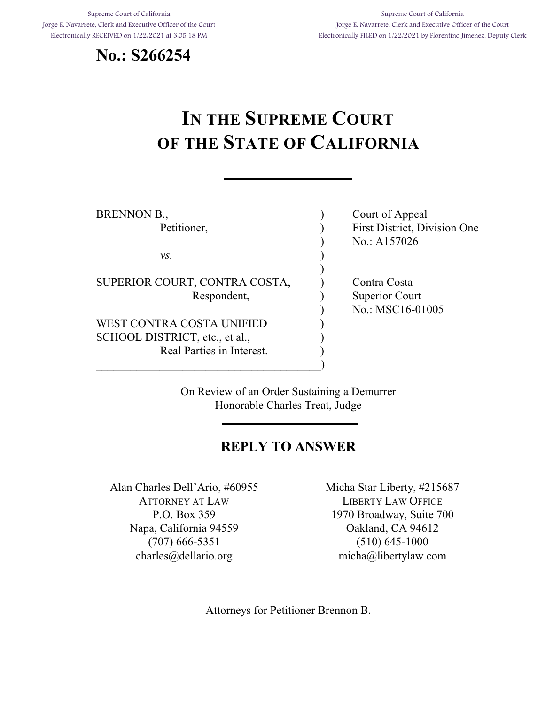Supreme Court of California Jorge E. Navarrete, Clerk and Executive Officer of the Court Electronically RECEIVED on 1/22/2021 at 3:05:18 PM





# **IN THE SUPREME COURT OF THE STATE OF CALIFORNIA**

| BRENNON B.,                    | Court of Appeal              |
|--------------------------------|------------------------------|
| Petitioner,                    | First District, Division One |
|                                | No.: A157026                 |
| VS.                            |                              |
|                                |                              |
| SUPERIOR COURT, CONTRA COSTA,  | Contra Costa                 |
| Respondent,                    | Superior Court               |
|                                | No.: MSC16-01005             |
| WEST CONTRA COSTA UNIFIED      |                              |
| SCHOOL DISTRICT, etc., et al., |                              |
| Real Parties in Interest.      |                              |
|                                |                              |

On Review of an Order Sustaining a Demurrer Honorable Charles Treat, Judge

### **REPLY TO ANSWER**

Alan Charles Dell'Ario, #60955 ATTORNEY AT LAW P.O. Box 359 Napa, California 94559 (707) 666-5351 charles@dellario.org

Micha Star Liberty, #215687 LIBERTY LAW OFFICE 1970 Broadway, Suite 700 Oakland, CA 94612 (510) 645-1000 micha@libertylaw.com

Attorneys for Petitioner Brennon B.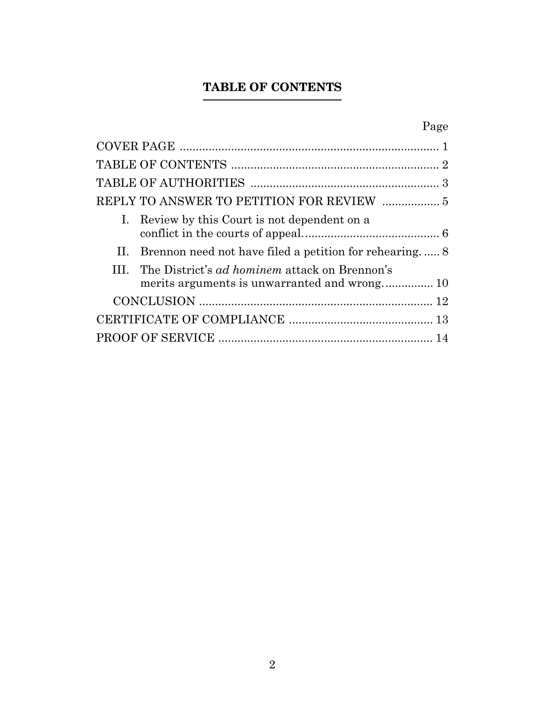# **TABLE OF CONTENTS**

# Page

<span id="page-1-0"></span>

| I. Review by this Court is not dependent on a              |  |
|------------------------------------------------------------|--|
| II. Brennon need not have filed a petition for rehearing 8 |  |
| III. The District's ad hominem attack on Brennon's         |  |
|                                                            |  |
|                                                            |  |
|                                                            |  |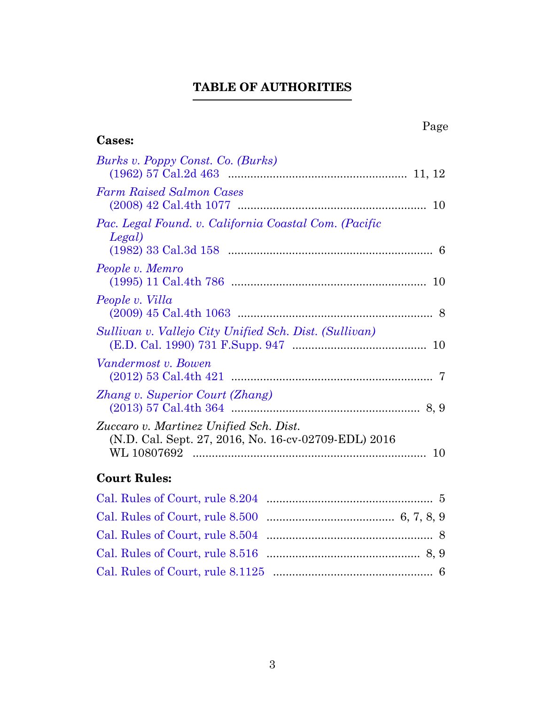# **TABLE OF AUTHORITIES**

<span id="page-2-0"></span>

| Page                                                                                                                |   |
|---------------------------------------------------------------------------------------------------------------------|---|
| <b>Cases:</b>                                                                                                       |   |
| Burks v. Poppy Const. Co. (Burks)                                                                                   |   |
| <b>Farm Raised Salmon Cases</b>                                                                                     |   |
| Pac. Legal Found. v. California Coastal Com. (Pacific<br>Legal)                                                     | 6 |
| People v. Memro                                                                                                     |   |
| People v. Villa                                                                                                     |   |
| Sullivan v. Vallejo City Unified Sch. Dist. (Sullivan)                                                              |   |
| Vandermost v. Bowen                                                                                                 |   |
| Zhang v. Superior Court (Zhang)                                                                                     |   |
| Zuccaro v. Martinez Unified Sch. Dist.<br>(N.D. Cal. Sept. 27, 2016, No. 16-cv-02709-EDL) 2016<br>WL 10807692<br>10 |   |
|                                                                                                                     |   |

### **Court Rules:**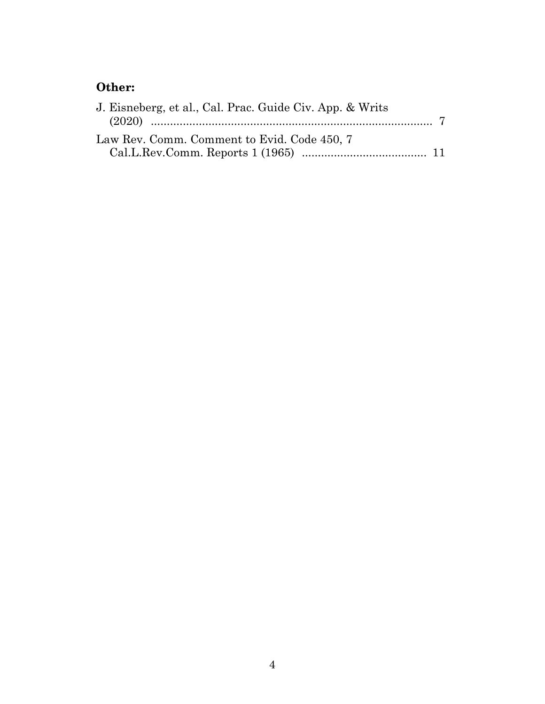# **Other:**

| J. Eisneberg, et al., Cal. Prac. Guide Civ. App. & Writs |  |
|----------------------------------------------------------|--|
|                                                          |  |
| Law Rev. Comm. Comment to Evid. Code 450, 7              |  |
|                                                          |  |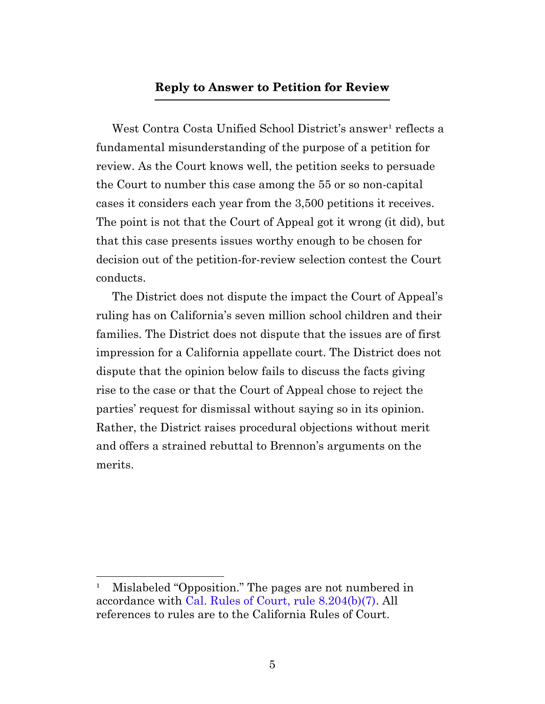#### **Reply to Answer to Petition for Review**

<span id="page-4-0"></span>West Contra Costa Unified School District's answer<sup>1</sup> reflects a fundamental misunderstanding of the purpose of a petition for review. As the Court knows well, the petition seeks to persuade the Court to number this case among the 55 or so non-capital cases it considers each year from the 3,500 petitions it receives. The point is not that the Court of Appeal got it wrong (it did), but that this case presents issues worthy enough to be chosen for decision out of the petition-for-review selection contest the Court conducts.

The District does not dispute the impact the Court of Appeal's ruling has on California's seven million school children and their families. The District does not dispute that the issues are of first impression for a California appellate court. The District does not dispute that the opinion below fails to discuss the facts giving rise to the case or that the Court of Appeal chose to reject the parties' request for dismissal without saying so in its opinion. Rather, the District raises procedural objections without merit and offers a strained rebuttal to Brennon's arguments on the merits.

<sup>&</sup>lt;sup>1</sup> Mislabeled "Opposition." The pages are not numbered in accordance with [Cal. Rules of Court, rule 8.204\(b\)\(7\)](https://www.courts.ca.gov/cms/rules/index.cfm?title=eight&linkid=rule8_204). All references to rules are to the California Rules of Court.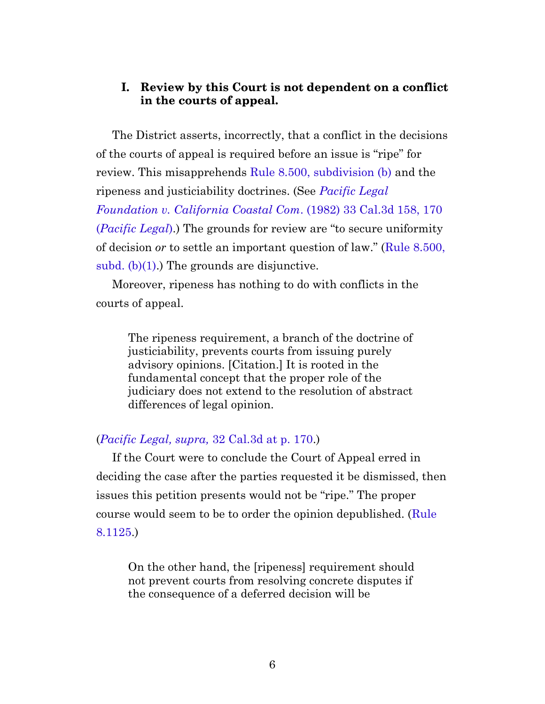#### **I. Review by this Court is not dependent on a conflict in the courts of appeal.**

<span id="page-5-0"></span>The District asserts, incorrectly, that a conflict in the decisions of the courts of appeal is required before an issue is "ripe" for review. This misapprehends [Rule 8.500, subdivision \(b\)](https://www.courts.ca.gov/cms/rules/index.cfm?title=eight&linkid=rule8_500) and the ripeness and justiciability doctrines. (See *[Pacific Legal](https://casetext.com/case/pacific-legal-foundation-v-california-coastal-com#p170) [Foundation v. California Coastal Com](https://casetext.com/case/pacific-legal-foundation-v-california-coastal-com#p170)*. (1982) 33 Cal.3d 158, 170 (*[Pacific Legal](https://casetext.com/case/pacific-legal-foundation-v-california-coastal-com#p170)*).) The grounds for review are "to secure uniformity of decision *or* to settle an important question of law." ([Rule 8.500,](https://www.courts.ca.gov/cms/rules/index.cfm?title=eight&linkid=rule8_500) subd.  $(b)(1)$ .) The grounds are disjunctive.

Moreover, ripeness has nothing to do with conflicts in the courts of appeal.

The ripeness requirement, a branch of the doctrine of justiciability, prevents courts from issuing purely advisory opinions. [Citation.] It is rooted in the fundamental concept that the proper role of the judiciary does not extend to the resolution of abstract differences of legal opinion.

#### (*[Pacific Legal, supra,](https://casetext.com/case/pacific-legal-foundation-v-california-coastal-com#p170)* 32 Cal.3d at p. 170.)

If the Court were to conclude the Court of Appeal erred in deciding the case after the parties requested it be dismissed, then issues this petition presents would not be "ripe." The proper course would seem to be to order the opinion depublished. ([Rule](https://www.courts.ca.gov/cms/rules/index.cfm?title=eight&linkid=rule8_1125) [8.1125.](https://www.courts.ca.gov/cms/rules/index.cfm?title=eight&linkid=rule8_1125))

On the other hand, the [ripeness] requirement should not prevent courts from resolving concrete disputes if the consequence of a deferred decision will be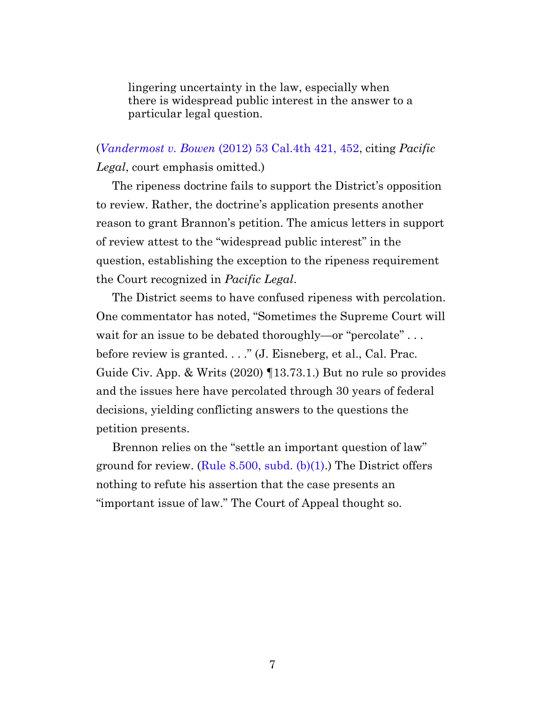lingering uncertainty in the law, especially when there is widespread public interest in the answer to a particular legal question.

(*Vandermost v. Bowen* [\(2012\) 53 Cal.4th 421, 452,](https://casetext.com/case/vandermost-v-bowen#p452) citing *Pacific Legal*, court emphasis omitted.)

The ripeness doctrine fails to support the District's opposition to review. Rather, the doctrine's application presents another reason to grant Brannon's petition. The amicus letters in support of review attest to the "widespread public interest" in the question, establishing the exception to the ripeness requirement the Court recognized in *Pacific Legal*.

<span id="page-6-0"></span>The District seems to have confused ripeness with percolation. One commentator has noted, "Sometimes the Supreme Court will wait for an issue to be debated thoroughly—or "percolate"... before review is granted. . . ." (J. Eisneberg, et al., Cal. Prac. Guide Civ. App. & Writs (2020) ¶13.73.1.) But no rule so provides and the issues here have percolated through 30 years of federal decisions, yielding conflicting answers to the questions the petition presents.

Brennon relies on the "settle an important question of law" ground for review. (Rule 8.500, subd.  $(b)(1)$ .) The District offers nothing to refute his assertion that the case presents an "important issue of law." The Court of Appeal thought so.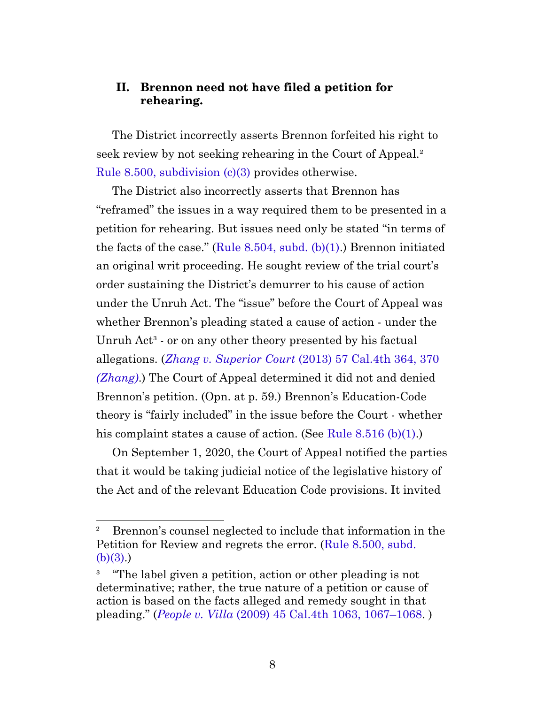#### **II. Brennon need not have filed a petition for rehearing.**

<span id="page-7-0"></span>The District incorrectly asserts Brennon forfeited his right to seek review by not seeking rehearing in the Court of Appeal.² [Rule 8.500, subdivision \(c\)\(3\)](https://www.courts.ca.gov/cms/rules/index.cfm?title=eight&linkid=rule8_500) provides otherwise.

The District also incorrectly asserts that Brennon has "reframed" the issues in a way required them to be presented in a petition for rehearing. But issues need only be stated "in terms of the facts of the case." (Rule 8.504, subd.  $(b)(1)$ .) Brennon initiated an original writ proceeding. He sought review of the trial court's order sustaining the District's demurrer to his cause of action under the Unruh Act. The "issue" before the Court of Appeal was whether Brennon's pleading stated a cause of action - under the Unruh  $Act<sup>3</sup>$  - or on any other theory presented by his factual allegations. (*Zhang v. Superior Court* [\(2013\) 57 Cal.4th 364, 370](https://casetext.com/case/zhang-v-superior-court-of-san-bernardino-cnty-1#p370) *[\(Zhang\)](https://casetext.com/case/zhang-v-superior-court-of-san-bernardino-cnty-1#p370)*.) The Court of Appeal determined it did not and denied Brennon's petition. (Opn. at p. 59.) Brennon's Education-Code theory is "fairly included" in the issue before the Court - whether his complaint states a cause of action. (See [Rule 8.516 \(b\)\(1\)](https://www.courts.ca.gov/cms/rules/index.cfm?title=eight&linkid=rule8_516).)

On September 1, 2020, the Court of Appeal notified the parties that it would be taking judicial notice of the legislative history of the Act and of the relevant Education Code provisions. It invited

² Brennon's counsel neglected to include that information in the Petition for Review and regrets the error. [\(Rule 8.500, subd.](https://www.courts.ca.gov/cms/rules/index.cfm?title=eight&linkid=rule8_500) [\(b\)\(3\).](https://www.courts.ca.gov/cms/rules/index.cfm?title=eight&linkid=rule8_500))

<sup>&</sup>lt;sup>3</sup> "The label given a petition, action or other pleading is not determinative; rather, the true nature of a petition or cause of action is based on the facts alleged and remedy sought in that pleading." (*People v. Villa* [\(2009\) 45 Cal.4th 1063, 1067–1068](https://casetext.com/case/people-v-villa#p1067). )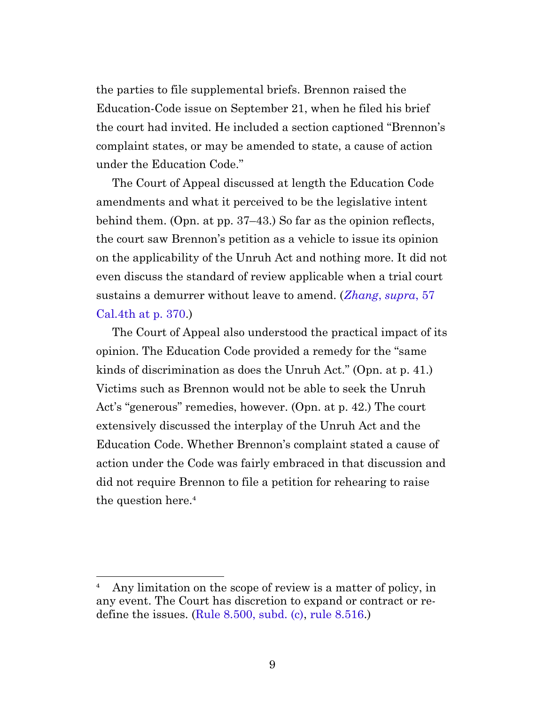the parties to file supplemental briefs. Brennon raised the Education-Code issue on September 21, when he filed his brief the court had invited. He included a section captioned "Brennon's complaint states, or may be amended to state, a cause of action under the Education Code."

The Court of Appeal discussed at length the Education Code amendments and what it perceived to be the legislative intent behind them. (Opn. at pp. 37–43.) So far as the opinion reflects, the court saw Brennon's petition as a vehicle to issue its opinion on the applicability of the Unruh Act and nothing more. It did not even discuss the standard of review applicable when a trial court sustains a demurrer without leave to amend. (*[Zhang](https://casetext.com/case/zhang-v-superior-court-of-san-bernardino-cnty-1#p370)*, *supra*, 57 [Cal.4th at p. 370](https://casetext.com/case/zhang-v-superior-court-of-san-bernardino-cnty-1#p370).)

The Court of Appeal also understood the practical impact of its opinion. The Education Code provided a remedy for the "same kinds of discrimination as does the Unruh Act." (Opn. at p. 41.) Victims such as Brennon would not be able to seek the Unruh Act's "generous" remedies, however. (Opn. at p. 42.) The court extensively discussed the interplay of the Unruh Act and the Education Code. Whether Brennon's complaint stated a cause of action under the Code was fairly embraced in that discussion and did not require Brennon to file a petition for rehearing to raise the question here.<sup>4</sup>

<sup>&</sup>lt;sup>4</sup> Any limitation on the scope of review is a matter of policy, in any event. The Court has discretion to expand or contract or redefine the issues. ([Rule 8.500, subd. \(c\)](https://www.courts.ca.gov/cms/rules/index.cfm?title=eight&linkid=rule8_500), [rule 8.516.](https://www.courts.ca.gov/cms/rules/index.cfm?title=eight&linkid=rule8_516))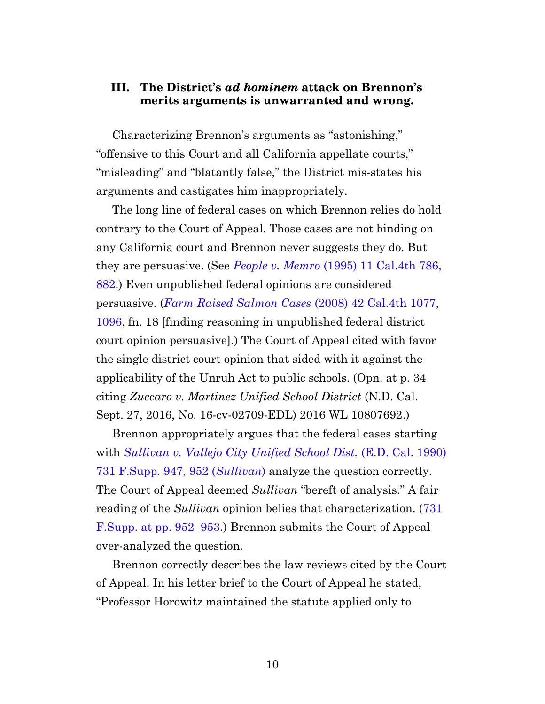#### **III. The District's** *ad hominem* **attack on Brennon's merits arguments is unwarranted and wrong.**

<span id="page-9-0"></span>Characterizing Brennon's arguments as "astonishing," "offensive to this Court and all California appellate courts," "misleading" and "blatantly false," the District mis-states his arguments and castigates him inappropriately.

The long line of federal cases on which Brennon relies do hold contrary to the Court of Appeal. Those cases are not binding on any California court and Brennon never suggests they do. But they are persuasive. (See *People v. Memro* [\(1995\) 11 Cal.4th 786,](https://casetext.com/case/people-v-memro#p882) [882.](https://casetext.com/case/people-v-memro#p882)) Even unpublished federal opinions are considered persuasive. (*[Farm Raised Salmon Cases](https://casetext.com/case/farm-raised-salmon-cases#p1096)* (2008) 42 Cal.4th 1077, [1096,](https://casetext.com/case/farm-raised-salmon-cases#p1096) fn. 18 [finding reasoning in unpublished federal district court opinion persuasive].) The Court of Appeal cited with favor the single district court opinion that sided with it against the applicability of the Unruh Act to public schools. (Opn. at p. 34 citing *Zuccaro v. Martinez Unified School District* (N.D. Cal. Sept. 27, 2016, No. 16-cv-02709-EDL) 2016 WL 10807692.)

<span id="page-9-1"></span>Brennon appropriately argues that the federal cases starting with *[Sullivan v. Vallejo City Unified School Dist.](https://casetext.com/case/sullivan-v-vallejo-city-unified-school#p952)* (E.D. Cal. 1990) [731 F.Supp. 947, 952 \(](https://casetext.com/case/sullivan-v-vallejo-city-unified-school#p952)*Sullivan*) analyze the question correctly. The Court of Appeal deemed *Sullivan* "bereft of analysis." A fair reading of the *Sullivan* opinion belies that characterization. [\(731](https://casetext.com/case/sullivan-v-vallejo-city-unified-school#p952) [F.Supp. at pp. 952–953](https://casetext.com/case/sullivan-v-vallejo-city-unified-school#p952).) Brennon submits the Court of Appeal over-analyzed the question.

Brennon correctly describes the law reviews cited by the Court of Appeal. In his letter brief to the Court of Appeal he stated, "Professor Horowitz maintained the statute applied only to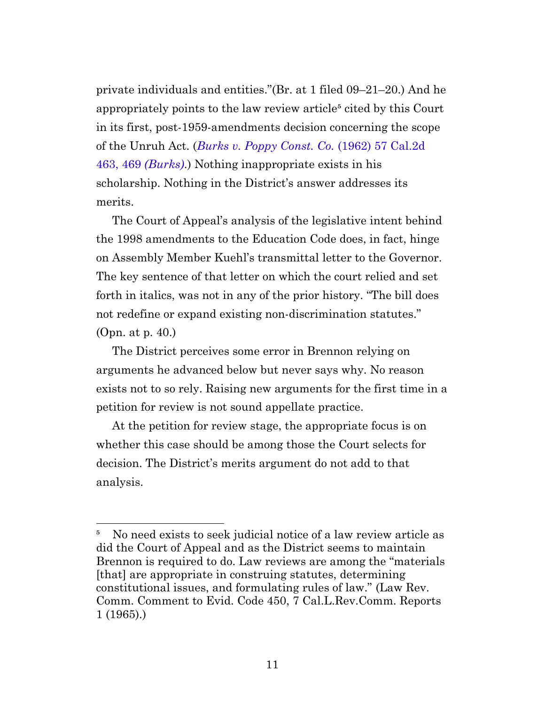private individuals and entities."(Br. at 1 filed 09–21–20.) And he appropriately points to the law review article<sup>5</sup> cited by this Court in its first, post-1959-amendments decision concerning the scope of the Unruh Act. (*[Burks v. Poppy Const. Co.](https://casetext.com/case/burks-v-poppy-construction-co#p469)* (1962) 57 Cal.2d [463, 469](https://casetext.com/case/burks-v-poppy-construction-co#p469) *(Burks)*.) Nothing inappropriate exists in his scholarship. Nothing in the District's answer addresses its merits.

The Court of Appeal's analysis of the legislative intent behind the 1998 amendments to the Education Code does, in fact, hinge on Assembly Member Kuehl's transmittal letter to the Governor. The key sentence of that letter on which the court relied and set forth in italics, was not in any of the prior history. "The bill does not redefine or expand existing non-discrimination statutes." (Opn. at p. 40.)

The District perceives some error in Brennon relying on arguments he advanced below but never says why. No reason exists not to so rely. Raising new arguments for the first time in a petition for review is not sound appellate practice.

At the petition for review stage, the appropriate focus is on whether this case should be among those the Court selects for decision. The District's merits argument do not add to that analysis.

<span id="page-10-0"></span><sup>&</sup>lt;sup>5</sup> No need exists to seek judicial notice of a law review article as did the Court of Appeal and as the District seems to maintain Brennon is required to do. Law reviews are among the "materials [that] are appropriate in construing statutes, determining constitutional issues, and formulating rules of law." (Law Rev. Comm. Comment to Evid. Code 450, 7 Cal.L.Rev.Comm. Reports 1 (1965).)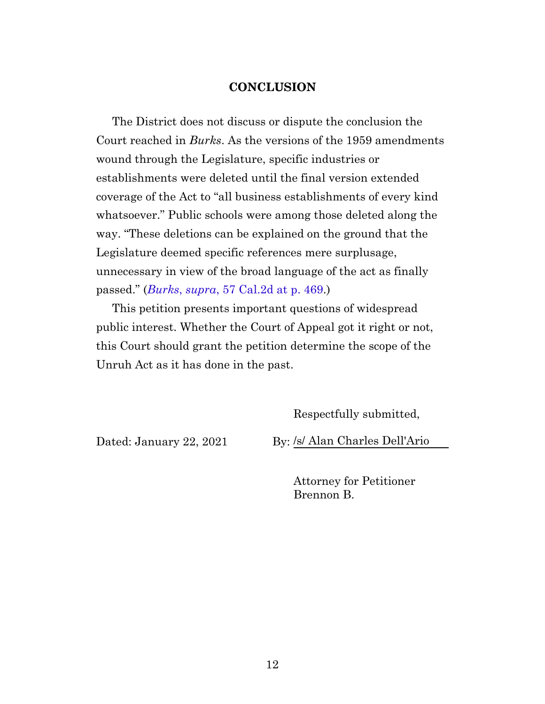#### **CONCLUSION**

<span id="page-11-0"></span>The District does not discuss or dispute the conclusion the Court reached in *Burks*. As the versions of the 1959 amendments wound through the Legislature, specific industries or establishments were deleted until the final version extended coverage of the Act to "all business establishments of every kind whatsoever." Public schools were among those deleted along the way. "These deletions can be explained on the ground that the Legislature deemed specific references mere surplusage, unnecessary in view of the broad language of the act as finally passed." (*Burks*, *supra*[, 57 Cal.2d at p. 469](https://casetext.com/case/burks-v-poppy-construction-co#p469).)

This petition presents important questions of widespread public interest. Whether the Court of Appeal got it right or not, this Court should grant the petition determine the scope of the Unruh Act as it has done in the past.

Respectfully submitted,

Dated: January 22, 2021 By: /s/ Alan Charles Dell'Ario

Attorney for Petitioner Brennon B.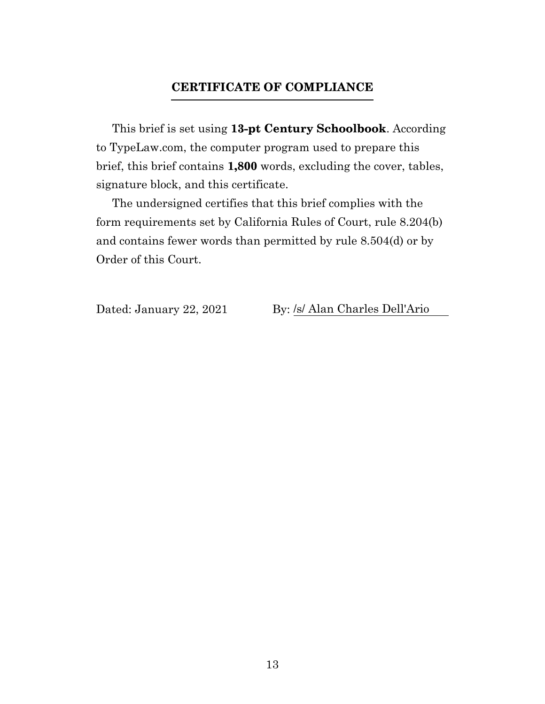#### **CERTIFICATE OF COMPLIANCE**

<span id="page-12-0"></span>This brief is set using **13-pt Century Schoolbook**. According to TypeLaw.com, the computer program used to prepare this brief, this brief contains **1,800** words, excluding the cover, tables, signature block, and this certificate.

The undersigned certifies that this brief complies with the form requirements set by California Rules of Court, rule 8.204(b) and contains fewer words than permitted by rule 8.504(d) or by Order of this Court.

Dated: January 22, 2021 By: /s/ Alan Charles Dell'Ario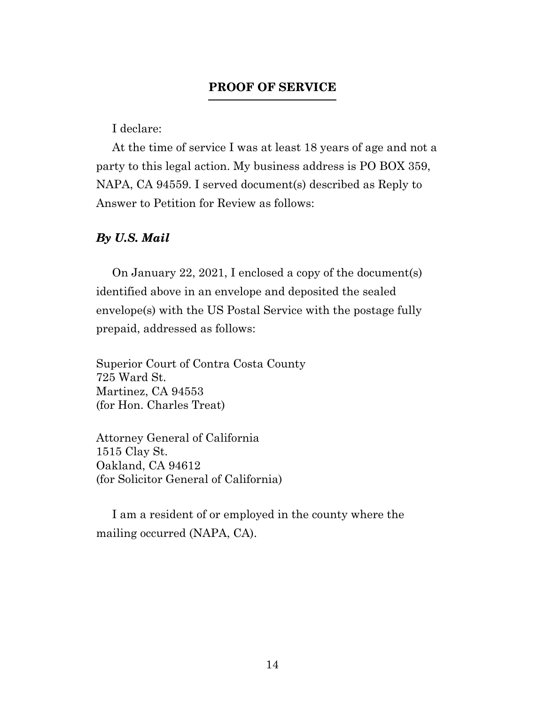#### **PROOF OF SERVICE**

I declare:

<span id="page-13-0"></span>At the time of service I was at least 18 years of age and not a party to this legal action. My business address is PO BOX 359, NAPA, CA 94559. I served document(s) described as Reply to Answer to Petition for Review as follows:

#### *By U.S. Mail*

On January 22, 2021, I enclosed a copy of the document(s) identified above in an envelope and deposited the sealed envelope(s) with the US Postal Service with the postage fully prepaid, addressed as follows:

Superior Court of Contra Costa County 725 Ward St. Martinez, CA 94553 (for Hon. Charles Treat)

Attorney General of California 1515 Clay St. Oakland, CA 94612 (for Solicitor General of California)

I am a resident of or employed in the county where the mailing occurred (NAPA, CA).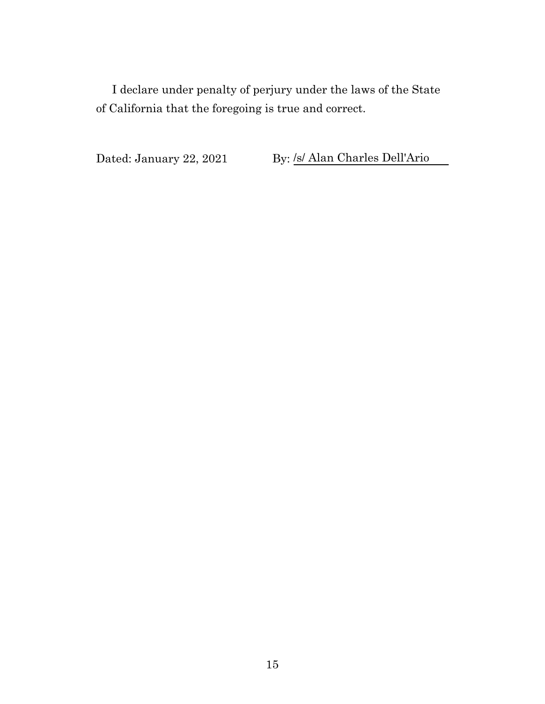I declare under penalty of perjury under the laws of the State of California that the foregoing is true and correct.

Dated: January 22, 2021 By: /s/ Alan Charles Dell'Ario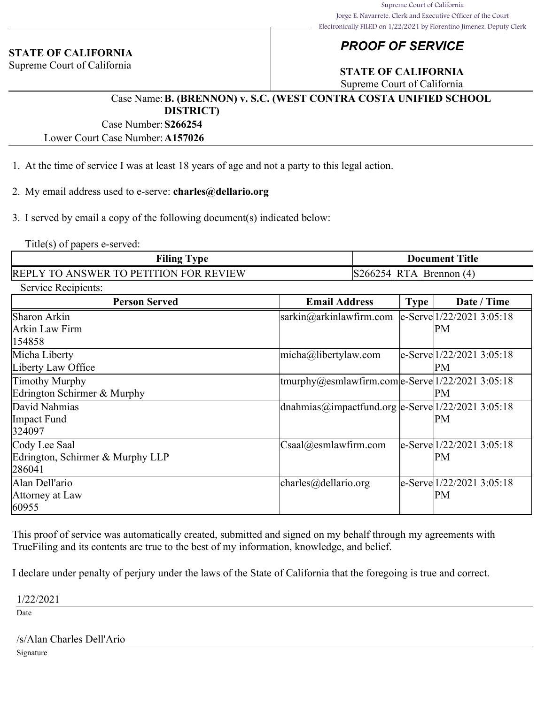#### **STATE OF CALIFORNIA**

Supreme Court of California

### *PROOF OF SERVICE*

### **STATE OF CALIFORNIA**

Supreme Court of California

#### Case Name:**B. (BRENNON) v. S.C. (WEST CONTRA COSTA UNIFIED SCHOOL DISTRICT)**

Case Number:**S266254**

Lower Court Case Number:**A157026**

- 1. At the time of service I was at least 18 years of age and not a party to this legal action.
- 2. My email address used to e-serve: **charles@dellario.org**

3. I served by email a copy of the following document(s) indicated below:

Title(s) of papers e-served:

| <b>Filing Type</b>                     | <b>Document Title</b>                      |  |  |
|----------------------------------------|--------------------------------------------|--|--|
| REPLY TO ANSWER TO PETITION FOR REVIEW | $ S266254 \text{ RTA}\text{ Brennon (4)} $ |  |  |

| Service Recipients:              |                                                                                     |      |                                    |
|----------------------------------|-------------------------------------------------------------------------------------|------|------------------------------------|
| <b>Person Served</b>             | <b>Email Address</b>                                                                | Type | Date / Time                        |
| Sharon Arkin                     | $sarkin@arkinlaw$ firm.com                                                          |      | $ e-Serve 1/22/20213:05:18$        |
| Arkin Law Firm                   |                                                                                     |      | PM                                 |
| 154858                           |                                                                                     |      |                                    |
| Micha Liberty                    | $ $ micha@libertylaw.com                                                            |      | $ e\text{-}Serve 1/22/20213:05:18$ |
| Liberty Law Office               |                                                                                     |      | PM                                 |
| <b>Timothy Murphy</b>            | $\frac{1}{2}$ tmurphy@esmlawfirm.com $\frac{1}{2}$ Serve $\frac{1}{22}/20213:05:18$ |      |                                    |
| Edrington Schirmer & Murphy      |                                                                                     |      | PМ                                 |
| David Nahmias                    | dnahmias@impactfund.org e-Serve $1/22/2021$ 3:05:18                                 |      |                                    |
| Impact Fund                      |                                                                                     |      | PМ                                 |
| 324097                           |                                                                                     |      |                                    |
| Cody Lee Saal                    | $\text{Csaa}l(\hat{\omega})$ esmlawfirm.com                                         |      | le-Serve 1/22/2021 3:05:18         |
| Edrington, Schirmer & Murphy LLP |                                                                                     |      | PM                                 |
| 286041                           |                                                                                     |      |                                    |
| Alan Dell'ario                   | $\vert$ charles@dellario.org                                                        |      | e-Serve 1/22/2021 3:05:18          |
| Attorney at Law                  |                                                                                     |      | PМ                                 |
| 60955                            |                                                                                     |      |                                    |

This proof of service was automatically created, submitted and signed on my behalf through my agreements with TrueFiling and its contents are true to the best of my information, knowledge, and belief.

I declare under penalty of perjury under the laws of the State of California that the foregoing is true and correct.

1/22/2021

Date

#### /s/Alan Charles Dell'Ario

Signature